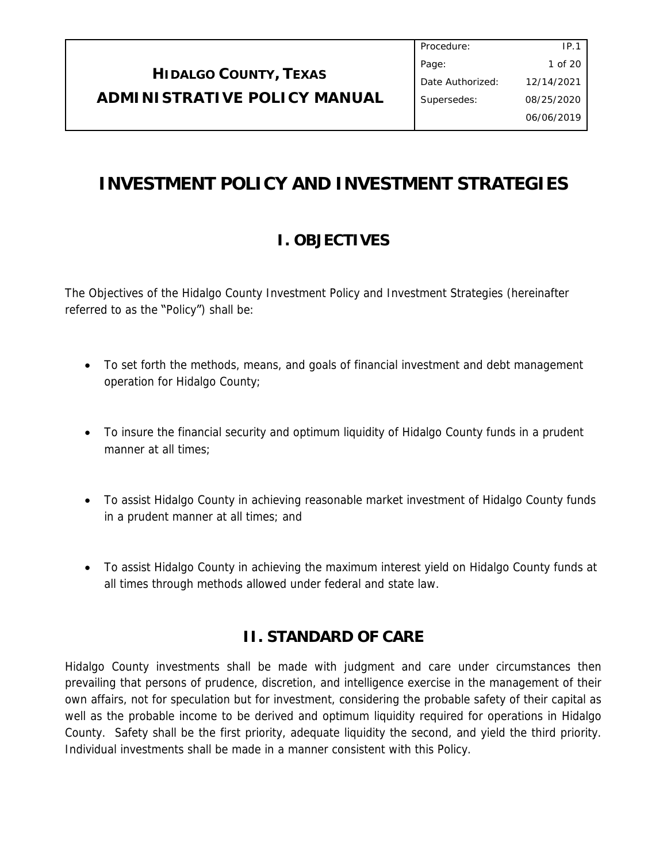# **INVESTMENT POLICY AND INVESTMENT STRATEGIES**

# **I. OBJECTIVES**

The Objectives of the Hidalgo County Investment Policy and Investment Strategies (hereinafter referred to as the "Policy") shall be:

- To set forth the methods, means, and goals of financial investment and debt management operation for Hidalgo County;
- To insure the financial security and optimum liquidity of Hidalgo County funds in a prudent manner at all times;
- To assist Hidalgo County in achieving reasonable market investment of Hidalgo County funds in a prudent manner at all times; and
- To assist Hidalgo County in achieving the maximum interest yield on Hidalgo County funds at all times through methods allowed under federal and state law.

# **II. STANDARD OF CARE**

Hidalgo County investments shall be made with judgment and care under circumstances then prevailing that persons of prudence, discretion, and intelligence exercise in the management of their own affairs, not for speculation but for investment, considering the probable safety of their capital as well as the probable income to be derived and optimum liquidity required for operations in Hidalgo County. Safety shall be the first priority, adequate liquidity the second, and yield the third priority. Individual investments shall be made in a manner consistent with this Policy.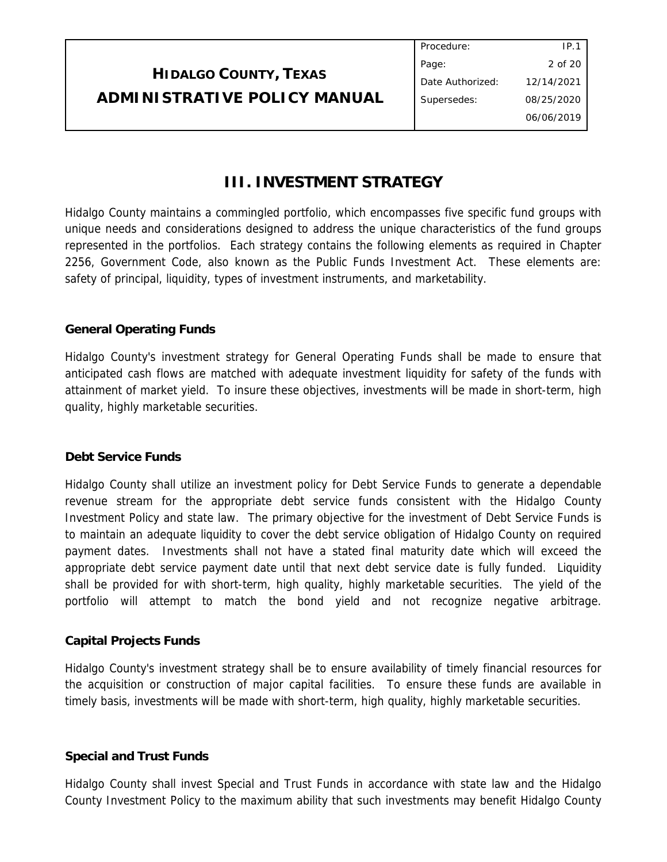|                              | Procedure:       |            |
|------------------------------|------------------|------------|
|                              | Page:            | 2 of 20    |
| <b>HIDALGO COUNTY, TEXAS</b> | Date Authorized: | 12/14/2021 |
| ADMINISTRATIVE POLICY MANUAL | Supersedes:      | 08/25/2020 |
|                              |                  | 06/06/2019 |

## **III. INVESTMENT STRATEGY**

Hidalgo County maintains a commingled portfolio, which encompasses five specific fund groups with unique needs and considerations designed to address the unique characteristics of the fund groups represented in the portfolios. Each strategy contains the following elements as required in Chapter 2256, Government Code, also known as the Public Funds Investment Act. These elements are: safety of principal, liquidity, types of investment instruments, and marketability.

## **General Operating Funds**

Hidalgo County's investment strategy for General Operating Funds shall be made to ensure that anticipated cash flows are matched with adequate investment liquidity for safety of the funds with attainment of market yield. To insure these objectives, investments will be made in short-term, high quality, highly marketable securities.

## **Debt Service Funds**

Hidalgo County shall utilize an investment policy for Debt Service Funds to generate a dependable revenue stream for the appropriate debt service funds consistent with the Hidalgo County Investment Policy and state law. The primary objective for the investment of Debt Service Funds is to maintain an adequate liquidity to cover the debt service obligation of Hidalgo County on required payment dates. Investments shall not have a stated final maturity date which will exceed the appropriate debt service payment date until that next debt service date is fully funded. Liquidity shall be provided for with short-term, high quality, highly marketable securities. The yield of the portfolio will attempt to match the bond yield and not recognize negative arbitrage.

## **Capital Projects Funds**

Hidalgo County's investment strategy shall be to ensure availability of timely financial resources for the acquisition or construction of major capital facilities. To ensure these funds are available in timely basis, investments will be made with short-term, high quality, highly marketable securities.

## **Special and Trust Funds**

Hidalgo County shall invest Special and Trust Funds in accordance with state law and the Hidalgo County Investment Policy to the maximum ability that such investments may benefit Hidalgo County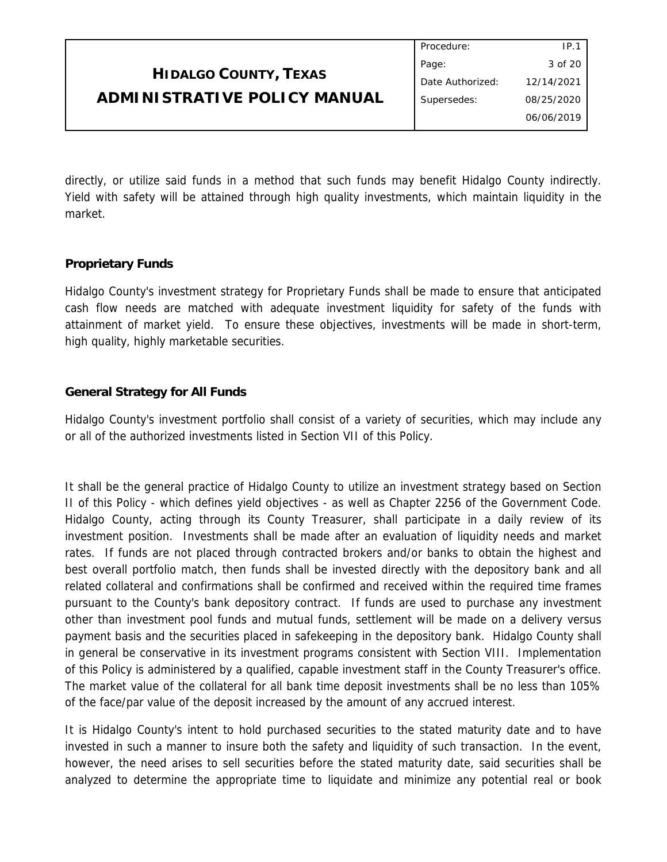|                                     | Procedure:       | IP.1       |
|-------------------------------------|------------------|------------|
|                                     | Page:            | 3 of 20    |
| <b>HIDALGO COUNTY, TEXAS</b>        | Date Authorized: | 12/14/2021 |
| <b>ADMINISTRATIVE POLICY MANUAL</b> | Supersedes:      | 08/25/2020 |
|                                     |                  | 06/06/2019 |
|                                     |                  |            |

directly, or utilize said funds in a method that such funds may benefit Hidalgo County indirectly. Yield with safety will be attained through high quality investments, which maintain liquidity in the market.

## **Proprietary Funds**

Hidalgo County's investment strategy for Proprietary Funds shall be made to ensure that anticipated cash flow needs are matched with adequate investment liquidity for safety of the funds with attainment of market yield. To ensure these objectives, investments will be made in short-term, high quality, highly marketable securities.

## **General Strategy for All Funds**

Hidalgo County's investment portfolio shall consist of a variety of securities, which may include any or all of the authorized investments listed in Section VII of this Policy.

It shall be the general practice of Hidalgo County to utilize an investment strategy based on Section II of this Policy - which defines yield objectives - as well as Chapter 2256 of the Government Code. Hidalgo County, acting through its County Treasurer, shall participate in a daily review of its investment position. Investments shall be made after an evaluation of liquidity needs and market rates. If funds are not placed through contracted brokers and/or banks to obtain the highest and best overall portfolio match, then funds shall be invested directly with the depository bank and all related collateral and confirmations shall be confirmed and received within the required time frames pursuant to the County's bank depository contract. If funds are used to purchase any investment other than investment pool funds and mutual funds, settlement will be made on a delivery versus payment basis and the securities placed in safekeeping in the depository bank. Hidalgo County shall in general be conservative in its investment programs consistent with Section VIII. Implementation of this Policy is administered by a qualified, capable investment staff in the County Treasurer's office. The market value of the collateral for all bank time deposit investments shall be no less than 105% of the face/par value of the deposit increased by the amount of any accrued interest.

It is Hidalgo County's intent to hold purchased securities to the stated maturity date and to have invested in such a manner to insure both the safety and liquidity of such transaction. In the event, however, the need arises to sell securities before the stated maturity date, said securities shall be analyzed to determine the appropriate time to liquidate and minimize any potential real or book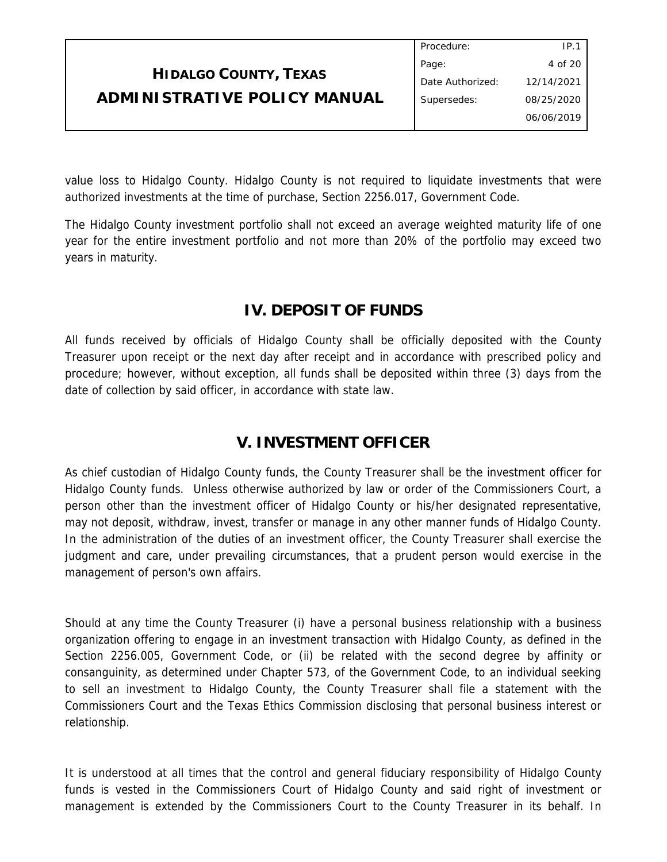|                              | Procedure:       | IP.1       |
|------------------------------|------------------|------------|
|                              | Page:            | 4 of 20    |
| <b>HIDALGO COUNTY, TEXAS</b> | Date Authorized: | 12/14/2021 |
| ADMINISTRATIVE POLICY MANUAL | Supersedes:      | 08/25/2020 |
|                              |                  | 06/06/2019 |
|                              |                  |            |

value loss to Hidalgo County. Hidalgo County is not required to liquidate investments that were authorized investments at the time of purchase, Section 2256.017, Government Code.

The Hidalgo County investment portfolio shall not exceed an average weighted maturity life of one year for the entire investment portfolio and not more than 20% of the portfolio may exceed two years in maturity.

# **IV. DEPOSIT OF FUNDS**

All funds received by officials of Hidalgo County shall be officially deposited with the County Treasurer upon receipt or the next day after receipt and in accordance with prescribed policy and procedure; however, without exception, all funds shall be deposited within three (3) days from the date of collection by said officer, in accordance with state law.

## **V. INVESTMENT OFFICER**

As chief custodian of Hidalgo County funds, the County Treasurer shall be the investment officer for Hidalgo County funds. Unless otherwise authorized by law or order of the Commissioners Court, a person other than the investment officer of Hidalgo County or his/her designated representative, may not deposit, withdraw, invest, transfer or manage in any other manner funds of Hidalgo County. In the administration of the duties of an investment officer, the County Treasurer shall exercise the judgment and care, under prevailing circumstances, that a prudent person would exercise in the management of person's own affairs.

Should at any time the County Treasurer (i) have a personal business relationship with a business organization offering to engage in an investment transaction with Hidalgo County, as defined in the Section 2256.005, Government Code, or (ii) be related with the second degree by affinity or consanguinity, as determined under Chapter 573, of the Government Code, to an individual seeking to sell an investment to Hidalgo County, the County Treasurer shall file a statement with the Commissioners Court and the Texas Ethics Commission disclosing that personal business interest or relationship.

It is understood at all times that the control and general fiduciary responsibility of Hidalgo County funds is vested in the Commissioners Court of Hidalgo County and said right of investment or management is extended by the Commissioners Court to the County Treasurer in its behalf. In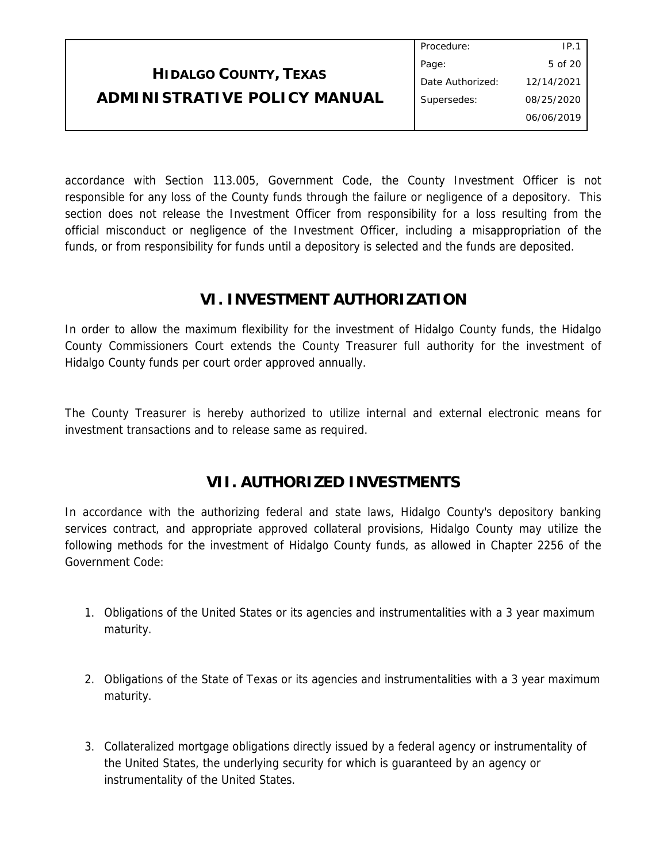|                              | Procedure:       | IP.1       |  |
|------------------------------|------------------|------------|--|
|                              | Page:            | 5 of 20    |  |
| <b>HIDALGO COUNTY, TEXAS</b> | Date Authorized: | 12/14/2021 |  |
| ADMINISTRATIVE POLICY MANUAL | Supersedes:      | 08/25/2020 |  |
|                              |                  | 06/06/2019 |  |
|                              |                  |            |  |

accordance with Section 113.005, Government Code, the County Investment Officer is not responsible for any loss of the County funds through the failure or negligence of a depository. This section does not release the Investment Officer from responsibility for a loss resulting from the official misconduct or negligence of the Investment Officer, including a misappropriation of the funds, or from responsibility for funds until a depository is selected and the funds are deposited.

## **VI. INVESTMENT AUTHORIZATION**

In order to allow the maximum flexibility for the investment of Hidalgo County funds, the Hidalgo County Commissioners Court extends the County Treasurer full authority for the investment of Hidalgo County funds per court order approved annually.

The County Treasurer is hereby authorized to utilize internal and external electronic means for investment transactions and to release same as required.

## **VII. AUTHORIZED INVESTMENTS**

In accordance with the authorizing federal and state laws, Hidalgo County's depository banking services contract, and appropriate approved collateral provisions, Hidalgo County may utilize the following methods for the investment of Hidalgo County funds, as allowed in Chapter 2256 of the Government Code:

- 1. Obligations of the United States or its agencies and instrumentalities with a 3 year maximum maturity.
- 2. Obligations of the State of Texas or its agencies and instrumentalities with a 3 year maximum maturity.
- 3. Collateralized mortgage obligations directly issued by a federal agency or instrumentality of the United States, the underlying security for which is guaranteed by an agency or instrumentality of the United States.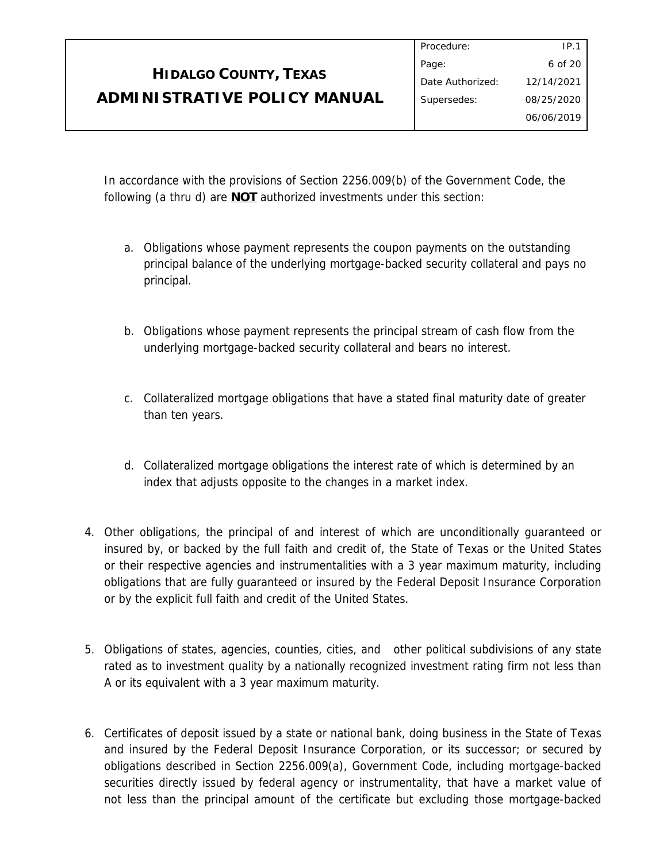# **HIDALGO COUNTY, TEXAS ADMINISTRATIVE POLICY MANUAL**

In accordance with the provisions of Section 2256.009(b) of the Government Code, the following (a thru d) are **NOT** authorized investments under this section:

- a. Obligations whose payment represents the coupon payments on the outstanding principal balance of the underlying mortgage-backed security collateral and pays no principal.
- b. Obligations whose payment represents the principal stream of cash flow from the underlying mortgage-backed security collateral and bears no interest.
- c. Collateralized mortgage obligations that have a stated final maturity date of greater than ten years.
- d. Collateralized mortgage obligations the interest rate of which is determined by an index that adjusts opposite to the changes in a market index.
- 4. Other obligations, the principal of and interest of which are unconditionally guaranteed or insured by, or backed by the full faith and credit of, the State of Texas or the United States or their respective agencies and instrumentalities with a 3 year maximum maturity, including obligations that are fully guaranteed or insured by the Federal Deposit Insurance Corporation or by the explicit full faith and credit of the United States.
- 5. Obligations of states, agencies, counties, cities, and other political subdivisions of any state rated as to investment quality by a nationally recognized investment rating firm not less than A or its equivalent with a 3 year maximum maturity.
- 6. Certificates of deposit issued by a state or national bank, doing business in the State of Texas and insured by the Federal Deposit Insurance Corporation, or its successor; or secured by obligations described in Section 2256.009(a), Government Code, including mortgage-backed securities directly issued by federal agency or instrumentality, that have a market value of not less than the principal amount of the certificate but excluding those mortgage-backed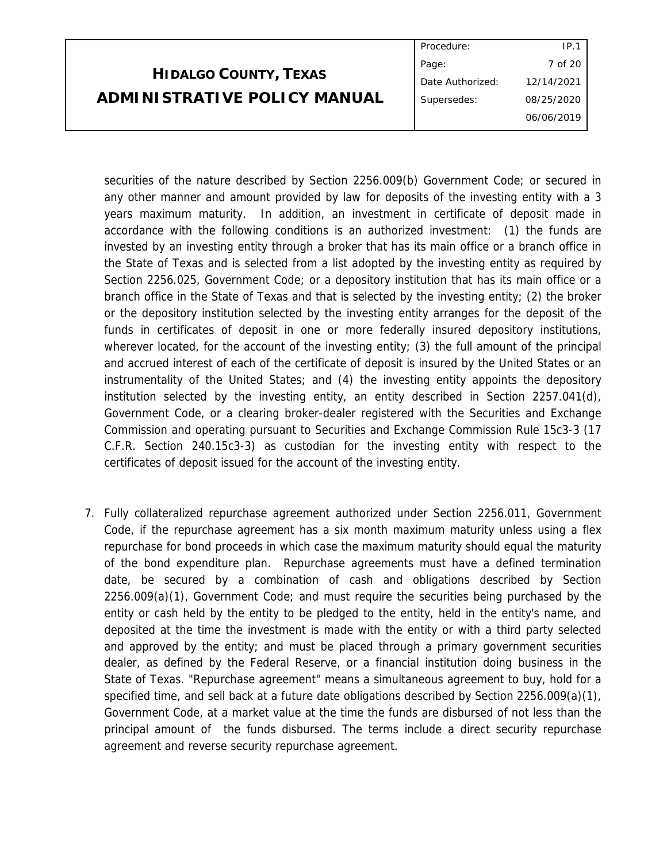|                              | Procedure:       | IP.1       |  |
|------------------------------|------------------|------------|--|
|                              | Page:            | 7 of 20    |  |
| <b>HIDALGO COUNTY, TEXAS</b> | Date Authorized: | 12/14/2021 |  |
| ADMINISTRATIVE POLICY MANUAL | Supersedes:      | 08/25/2020 |  |
|                              |                  | 06/06/2019 |  |
|                              |                  |            |  |

securities of the nature described by Section 2256.009(b) Government Code; or secured in any other manner and amount provided by law for deposits of the investing entity with a 3 years maximum maturity. In addition, an investment in certificate of deposit made in accordance with the following conditions is an authorized investment: (1) the funds are invested by an investing entity through a broker that has its main office or a branch office in the State of Texas and is selected from a list adopted by the investing entity as required by Section 2256.025, Government Code; or a depository institution that has its main office or a branch office in the State of Texas and that is selected by the investing entity; (2) the broker or the depository institution selected by the investing entity arranges for the deposit of the funds in certificates of deposit in one or more federally insured depository institutions, wherever located, for the account of the investing entity; (3) the full amount of the principal and accrued interest of each of the certificate of deposit is insured by the United States or an instrumentality of the United States; and (4) the investing entity appoints the depository institution selected by the investing entity, an entity described in Section 2257.041(d), Government Code, or a clearing broker-dealer registered with the Securities and Exchange Commission and operating pursuant to Securities and Exchange Commission Rule 15c3-3 (17 C.F.R. Section 240.15c3-3) as custodian for the investing entity with respect to the certificates of deposit issued for the account of the investing entity.

7. Fully collateralized repurchase agreement authorized under Section 2256.011, Government Code, if the repurchase agreement has a six month maximum maturity unless using a flex repurchase for bond proceeds in which case the maximum maturity should equal the maturity of the bond expenditure plan. Repurchase agreements must have a defined termination date, be secured by a combination of cash and obligations described by Section 2256.009(a)(1), Government Code; and must require the securities being purchased by the entity or cash held by the entity to be pledged to the entity, held in the entity's name, and deposited at the time the investment is made with the entity or with a third party selected and approved by the entity; and must be placed through a primary government securities dealer, as defined by the Federal Reserve, or a financial institution doing business in the State of Texas. "Repurchase agreement" means a simultaneous agreement to buy, hold for a specified time, and sell back at a future date obligations described by Section 2256.009(a)(1), Government Code, at a market value at the time the funds are disbursed of not less than the principal amount of the funds disbursed. The terms include a direct security repurchase agreement and reverse security repurchase agreement.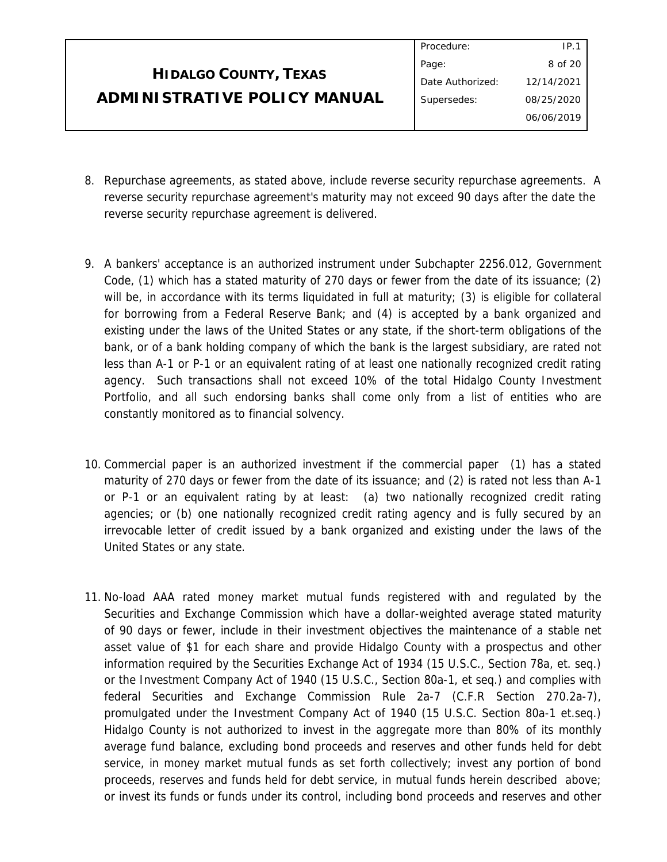|                              | Procedure:       | IP.1       |
|------------------------------|------------------|------------|
|                              | Page:            | 8 of 20    |
| <b>HIDALGO COUNTY, TEXAS</b> | Date Authorized: | 12/14/2021 |
| ADMINISTRATIVE POLICY MANUAL | Supersedes:      | 08/25/2020 |
|                              |                  | 06/06/2019 |
|                              |                  |            |

- 8. Repurchase agreements, as stated above, include reverse security repurchase agreements. A reverse security repurchase agreement's maturity may not exceed 90 days after the date the reverse security repurchase agreement is delivered.
- 9. A bankers' acceptance is an authorized instrument under Subchapter 2256.012, Government Code, (1) which has a stated maturity of 270 days or fewer from the date of its issuance; (2) will be, in accordance with its terms liquidated in full at maturity; (3) is eligible for collateral for borrowing from a Federal Reserve Bank; and (4) is accepted by a bank organized and existing under the laws of the United States or any state, if the short-term obligations of the bank, or of a bank holding company of which the bank is the largest subsidiary, are rated not less than A-1 or P-1 or an equivalent rating of at least one nationally recognized credit rating agency. Such transactions shall not exceed 10% of the total Hidalgo County Investment Portfolio, and all such endorsing banks shall come only from a list of entities who are constantly monitored as to financial solvency.
- 10. Commercial paper is an authorized investment if the commercial paper (1) has a stated maturity of 270 days or fewer from the date of its issuance; and (2) is rated not less than A-1 or P-1 or an equivalent rating by at least: (a) two nationally recognized credit rating agencies; or (b) one nationally recognized credit rating agency and is fully secured by an irrevocable letter of credit issued by a bank organized and existing under the laws of the United States or any state.
- 11. No-load AAA rated money market mutual funds registered with and regulated by the Securities and Exchange Commission which have a dollar-weighted average stated maturity of 90 days or fewer, include in their investment objectives the maintenance of a stable net asset value of \$1 for each share and provide Hidalgo County with a prospectus and other information required by the Securities Exchange Act of 1934 (15 U.S.C., Section 78a, et. seq.) or the Investment Company Act of 1940 (15 U.S.C., Section 80a-1, et seq.) and complies with federal Securities and Exchange Commission Rule 2a-7 (C.F.R Section 270.2a-7), promulgated under the Investment Company Act of 1940 (15 U.S.C. Section 80a-1 et.seq.) Hidalgo County is not authorized to invest in the aggregate more than 80% of its monthly average fund balance, excluding bond proceeds and reserves and other funds held for debt service, in money market mutual funds as set forth collectively; invest any portion of bond proceeds, reserves and funds held for debt service, in mutual funds herein described above; or invest its funds or funds under its control, including bond proceeds and reserves and other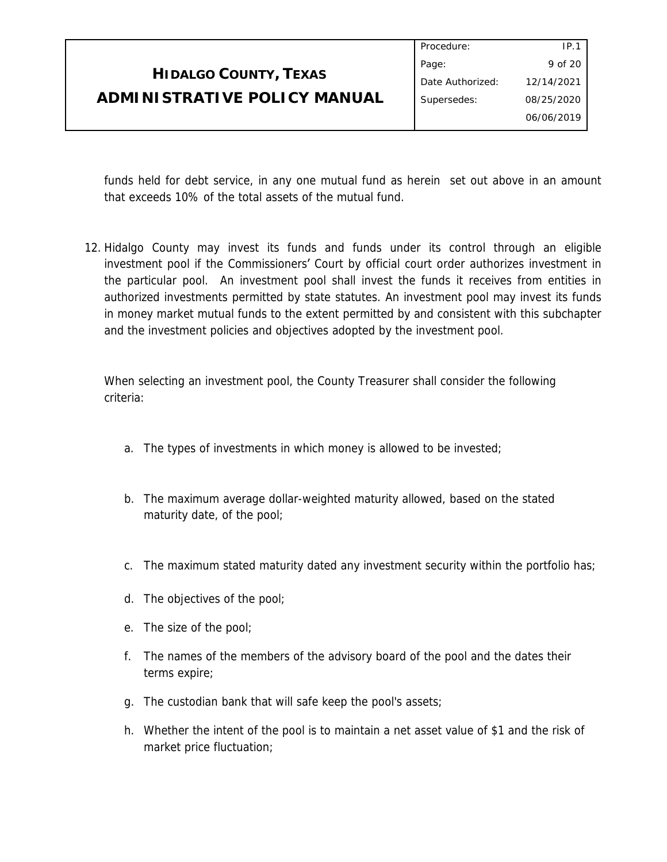|                              | Procedure:       | IP.1       |
|------------------------------|------------------|------------|
|                              | Page:            | 9 of 20    |
| <b>HIDALGO COUNTY, TEXAS</b> | Date Authorized: | 12/14/2021 |
| ADMINISTRATIVE POLICY MANUAL | Supersedes:      | 08/25/2020 |
|                              |                  | 06/06/2019 |

funds held for debt service, in any one mutual fund as herein set out above in an amount that exceeds 10% of the total assets of the mutual fund.

12. Hidalgo County may invest its funds and funds under its control through an eligible investment pool if the Commissioners' Court by official court order authorizes investment in the particular pool. An investment pool shall invest the funds it receives from entities in authorized investments permitted by state statutes. An investment pool may invest its funds in money market mutual funds to the extent permitted by and consistent with this subchapter and the investment policies and objectives adopted by the investment pool.

When selecting an investment pool, the County Treasurer shall consider the following criteria:

- a. The types of investments in which money is allowed to be invested;
- b. The maximum average dollar-weighted maturity allowed, based on the stated maturity date, of the pool;
- c. The maximum stated maturity dated any investment security within the portfolio has;
- d. The objectives of the pool;
- e. The size of the pool;
- f. The names of the members of the advisory board of the pool and the dates their terms expire;
- g. The custodian bank that will safe keep the pool's assets;
- h. Whether the intent of the pool is to maintain a net asset value of \$1 and the risk of market price fluctuation;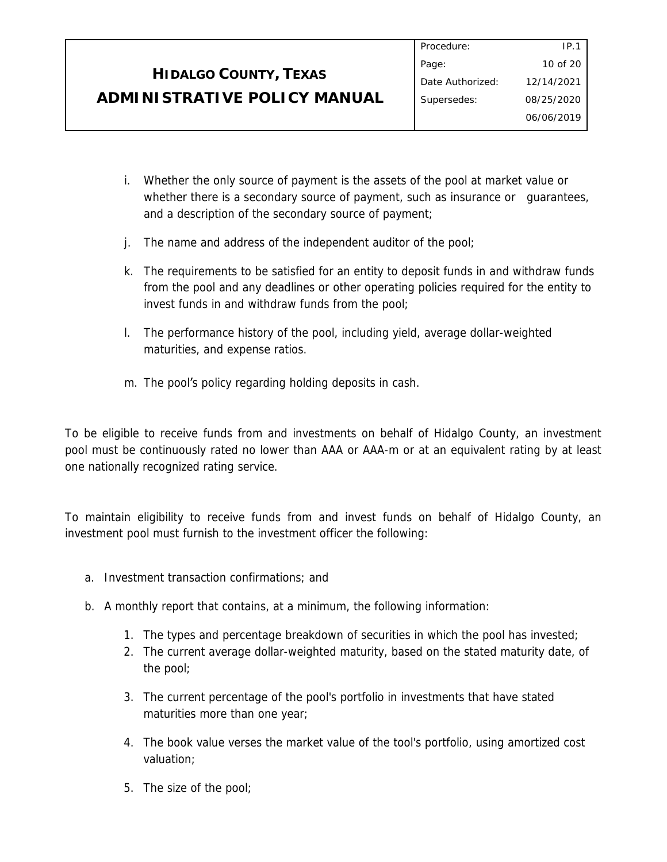# **HIDALGO COUNTY, TEXAS ADMINISTRATIVE POLICY MANUAL**

- i. Whether the only source of payment is the assets of the pool at market value or whether there is a secondary source of payment, such as insurance or guarantees, and a description of the secondary source of payment;
- j. The name and address of the independent auditor of the pool;
- k. The requirements to be satisfied for an entity to deposit funds in and withdraw funds from the pool and any deadlines or other operating policies required for the entity to invest funds in and withdraw funds from the pool;
- l. The performance history of the pool, including yield, average dollar-weighted maturities, and expense ratios.
- m. The pool's policy regarding holding deposits in cash.

To be eligible to receive funds from and investments on behalf of Hidalgo County, an investment pool must be continuously rated no lower than AAA or AAA-m or at an equivalent rating by at least one nationally recognized rating service.

To maintain eligibility to receive funds from and invest funds on behalf of Hidalgo County, an investment pool must furnish to the investment officer the following:

- a. Investment transaction confirmations; and
- b. A monthly report that contains, at a minimum, the following information:
	- 1. The types and percentage breakdown of securities in which the pool has invested;
	- 2. The current average dollar-weighted maturity, based on the stated maturity date, of the pool;
	- 3. The current percentage of the pool's portfolio in investments that have stated maturities more than one year;
	- 4. The book value verses the market value of the tool's portfolio, using amortized cost valuation;
	- 5. The size of the pool;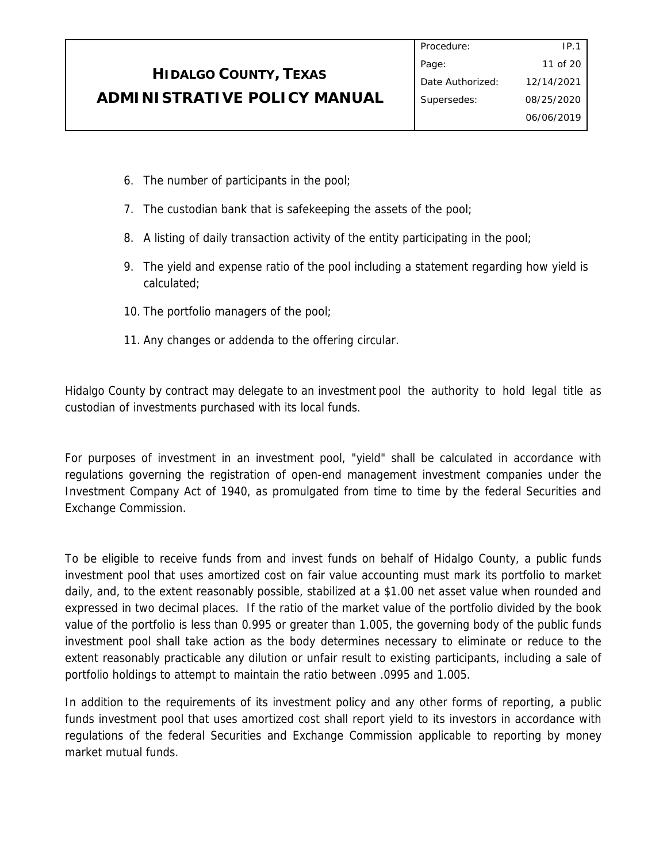|                                     | Procedure:       | IP.1       |
|-------------------------------------|------------------|------------|
|                                     | Page:            | 11 of 20   |
| <b>HIDALGO COUNTY, TEXAS</b>        | Date Authorized: | 12/14/2021 |
| <b>ADMINISTRATIVE POLICY MANUAL</b> | Supersedes:      | 08/25/2020 |
|                                     |                  | 06/06/2019 |

Procedure:

- 6. The number of participants in the pool;
- 7. The custodian bank that is safekeeping the assets of the pool;
- 8. A listing of daily transaction activity of the entity participating in the pool;
- 9. The yield and expense ratio of the pool including a statement regarding how yield is calculated;
- 10. The portfolio managers of the pool;
- 11. Any changes or addenda to the offering circular.

Hidalgo County by contract may delegate to an investment pool the authority to hold legal title as custodian of investments purchased with its local funds.

For purposes of investment in an investment pool, "yield" shall be calculated in accordance with regulations governing the registration of open-end management investment companies under the Investment Company Act of 1940, as promulgated from time to time by the federal Securities and Exchange Commission.

To be eligible to receive funds from and invest funds on behalf of Hidalgo County, a public funds investment pool that uses amortized cost on fair value accounting must mark its portfolio to market daily, and, to the extent reasonably possible, stabilized at a \$1.00 net asset value when rounded and expressed in two decimal places. If the ratio of the market value of the portfolio divided by the book value of the portfolio is less than 0.995 or greater than 1.005, the governing body of the public funds investment pool shall take action as the body determines necessary to eliminate or reduce to the extent reasonably practicable any dilution or unfair result to existing participants, including a sale of portfolio holdings to attempt to maintain the ratio between .0995 and 1.005.

In addition to the requirements of its investment policy and any other forms of reporting, a public funds investment pool that uses amortized cost shall report yield to its investors in accordance with regulations of the federal Securities and Exchange Commission applicable to reporting by money market mutual funds.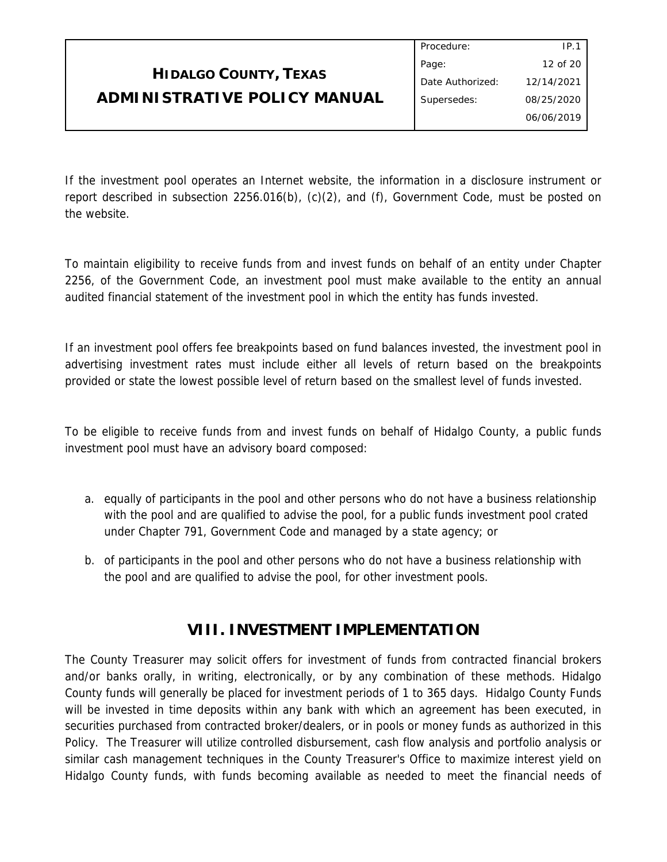|                              | Procedure:       | IP.1       |
|------------------------------|------------------|------------|
|                              | Page:            | 12 of 20   |
| <b>HIDALGO COUNTY, TEXAS</b> | Date Authorized: | 12/14/2021 |
| ADMINISTRATIVE POLICY MANUAL | Supersedes:      | 08/25/2020 |
|                              |                  | 06/06/2019 |

If the investment pool operates an Internet website, the information in a disclosure instrument or report described in subsection 2256.016(b), (c)(2), and (f), Government Code, must be posted on the website.

To maintain eligibility to receive funds from and invest funds on behalf of an entity under Chapter 2256, of the Government Code, an investment pool must make available to the entity an annual audited financial statement of the investment pool in which the entity has funds invested.

If an investment pool offers fee breakpoints based on fund balances invested, the investment pool in advertising investment rates must include either all levels of return based on the breakpoints provided or state the lowest possible level of return based on the smallest level of funds invested.

To be eligible to receive funds from and invest funds on behalf of Hidalgo County, a public funds investment pool must have an advisory board composed:

- a. equally of participants in the pool and other persons who do not have a business relationship with the pool and are qualified to advise the pool, for a public funds investment pool crated under Chapter 791, Government Code and managed by a state agency; or
- b. of participants in the pool and other persons who do not have a business relationship with the pool and are qualified to advise the pool, for other investment pools.

## **VIII. INVESTMENT IMPLEMENTATION**

The County Treasurer may solicit offers for investment of funds from contracted financial brokers and/or banks orally, in writing, electronically, or by any combination of these methods. Hidalgo County funds will generally be placed for investment periods of 1 to 365 days. Hidalgo County Funds will be invested in time deposits within any bank with which an agreement has been executed, in securities purchased from contracted broker/dealers, or in pools or money funds as authorized in this Policy. The Treasurer will utilize controlled disbursement, cash flow analysis and portfolio analysis or similar cash management techniques in the County Treasurer's Office to maximize interest yield on Hidalgo County funds, with funds becoming available as needed to meet the financial needs of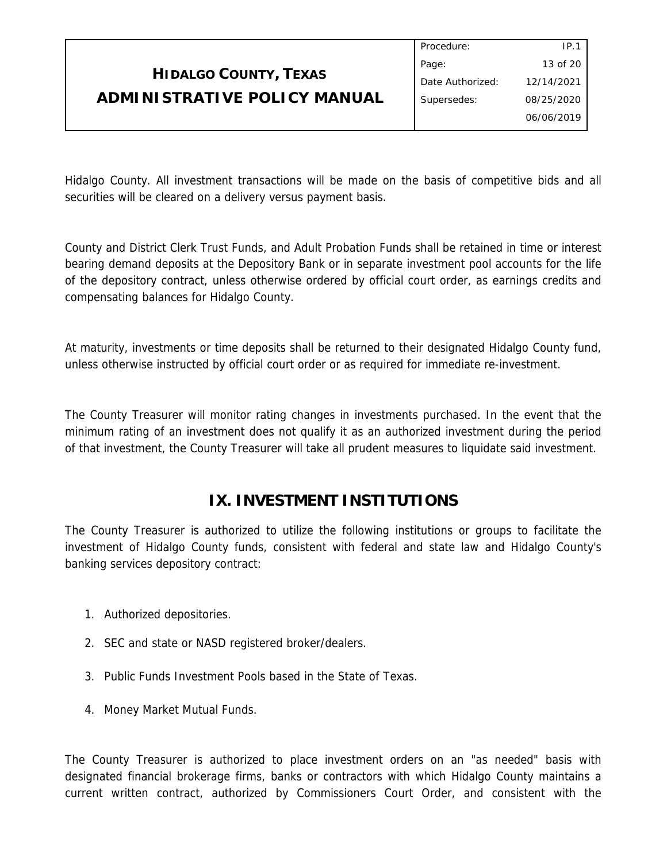#### **HIDALGO COUNTY, TEXAS ADMINISTRATIVE POLICY MANUAL** Procedure: Page: Date Authorized: Supersedes: IP.1 13 of 20 12/14/2021 08/25/2020 06/06/2019

Hidalgo County. All investment transactions will be made on the basis of competitive bids and all securities will be cleared on a delivery versus payment basis.

County and District Clerk Trust Funds, and Adult Probation Funds shall be retained in time or interest bearing demand deposits at the Depository Bank or in separate investment pool accounts for the life of the depository contract, unless otherwise ordered by official court order, as earnings credits and compensating balances for Hidalgo County.

At maturity, investments or time deposits shall be returned to their designated Hidalgo County fund, unless otherwise instructed by official court order or as required for immediate re-investment.

The County Treasurer will monitor rating changes in investments purchased. In the event that the minimum rating of an investment does not qualify it as an authorized investment during the period of that investment, the County Treasurer will take all prudent measures to liquidate said investment.

# **IX. INVESTMENT INSTITUTIONS**

The County Treasurer is authorized to utilize the following institutions or groups to facilitate the investment of Hidalgo County funds, consistent with federal and state law and Hidalgo County's banking services depository contract:

- 1. Authorized depositories.
- 2. SEC and state or NASD registered broker/dealers.
- 3. Public Funds Investment Pools based in the State of Texas.
- 4. Money Market Mutual Funds.

The County Treasurer is authorized to place investment orders on an "as needed" basis with designated financial brokerage firms, banks or contractors with which Hidalgo County maintains a current written contract, authorized by Commissioners Court Order, and consistent with the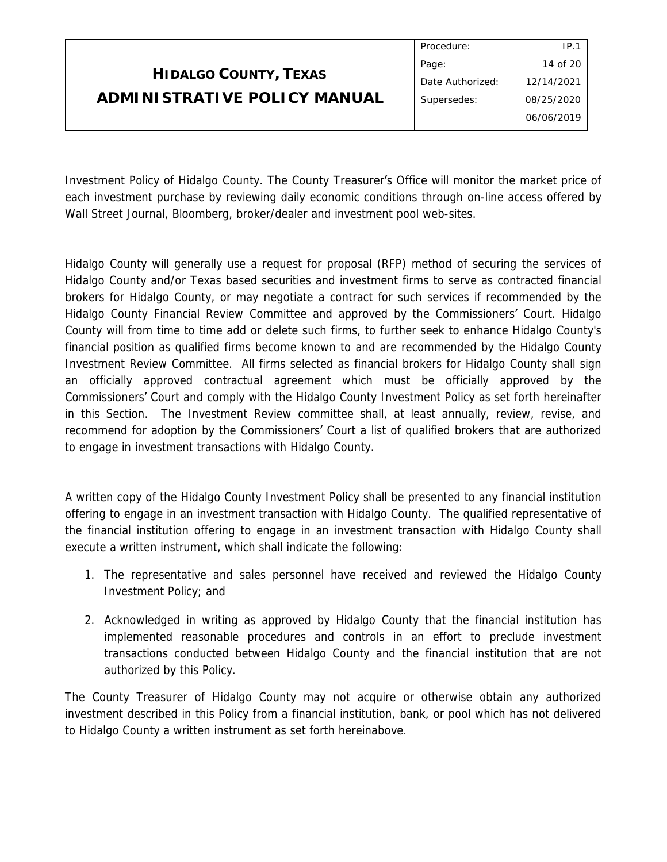|                              | FIULCUUIC.       | $\Gamma$ . $\Gamma$ |
|------------------------------|------------------|---------------------|
|                              | Page:            | 14 of 20            |
| <b>HIDALGO COUNTY, TEXAS</b> | Date Authorized: | 12/14/2021          |
| ADMINISTRATIVE POLICY MANUAL | Supersedes:      | 08/25/2020          |
|                              |                  | 06/06/2019          |
|                              |                  |                     |

Procedure:

 $\overline{1}$ 

Investment Policy of Hidalgo County. The County Treasurer's Office will monitor the market price of each investment purchase by reviewing daily economic conditions through on-line access offered by Wall Street Journal, Bloomberg, broker/dealer and investment pool web-sites.

Hidalgo County will generally use a request for proposal (RFP) method of securing the services of Hidalgo County and/or Texas based securities and investment firms to serve as contracted financial brokers for Hidalgo County, or may negotiate a contract for such services if recommended by the Hidalgo County Financial Review Committee and approved by the Commissioners' Court. Hidalgo County will from time to time add or delete such firms, to further seek to enhance Hidalgo County's financial position as qualified firms become known to and are recommended by the Hidalgo County Investment Review Committee. All firms selected as financial brokers for Hidalgo County shall sign an officially approved contractual agreement which must be officially approved by the Commissioners' Court and comply with the Hidalgo County Investment Policy as set forth hereinafter in this Section. The Investment Review committee shall, at least annually, review, revise, and recommend for adoption by the Commissioners' Court a list of qualified brokers that are authorized to engage in investment transactions with Hidalgo County.

A written copy of the Hidalgo County Investment Policy shall be presented to any financial institution offering to engage in an investment transaction with Hidalgo County. The qualified representative of the financial institution offering to engage in an investment transaction with Hidalgo County shall execute a written instrument, which shall indicate the following:

- 1. The representative and sales personnel have received and reviewed the Hidalgo County Investment Policy; and
- 2. Acknowledged in writing as approved by Hidalgo County that the financial institution has implemented reasonable procedures and controls in an effort to preclude investment transactions conducted between Hidalgo County and the financial institution that are not authorized by this Policy.

The County Treasurer of Hidalgo County may not acquire or otherwise obtain any authorized investment described in this Policy from a financial institution, bank, or pool which has not delivered to Hidalgo County a written instrument as set forth hereinabove.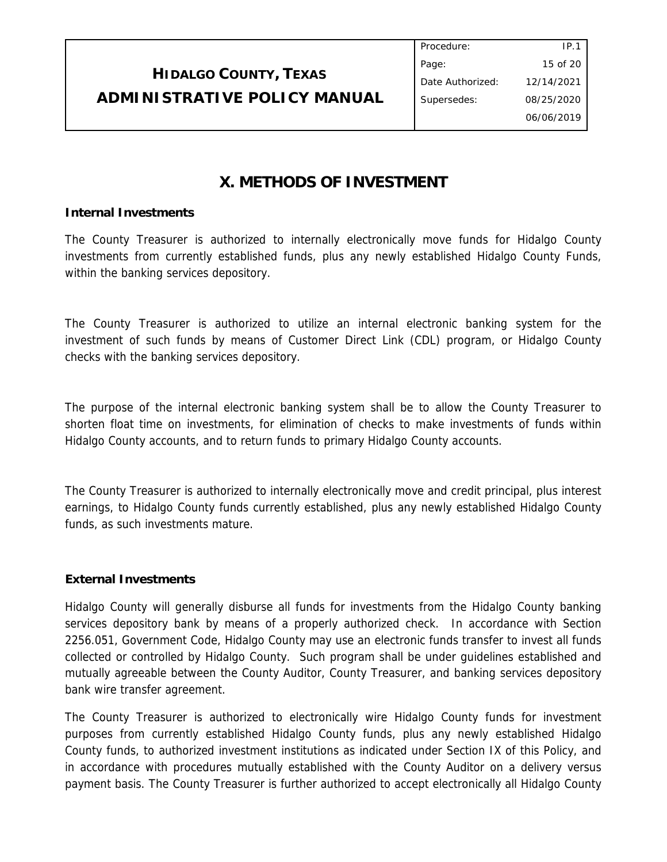| <b>HIDALGO COUNTY, TEXAS</b> |
|------------------------------|
| ADMINISTRATIVE POLICY MANUAL |

## **X. METHODS OF INVESTMENT**

#### **Internal Investments**

The County Treasurer is authorized to internally electronically move funds for Hidalgo County investments from currently established funds, plus any newly established Hidalgo County Funds, within the banking services depository.

The County Treasurer is authorized to utilize an internal electronic banking system for the investment of such funds by means of Customer Direct Link (CDL) program, or Hidalgo County checks with the banking services depository.

The purpose of the internal electronic banking system shall be to allow the County Treasurer to shorten float time on investments, for elimination of checks to make investments of funds within Hidalgo County accounts, and to return funds to primary Hidalgo County accounts.

The County Treasurer is authorized to internally electronically move and credit principal, plus interest earnings, to Hidalgo County funds currently established, plus any newly established Hidalgo County funds, as such investments mature.

## **External Investments**

Hidalgo County will generally disburse all funds for investments from the Hidalgo County banking services depository bank by means of a properly authorized check. In accordance with Section 2256.051, Government Code, Hidalgo County may use an electronic funds transfer to invest all funds collected or controlled by Hidalgo County. Such program shall be under guidelines established and mutually agreeable between the County Auditor, County Treasurer, and banking services depository bank wire transfer agreement.

The County Treasurer is authorized to electronically wire Hidalgo County funds for investment purposes from currently established Hidalgo County funds, plus any newly established Hidalgo County funds, to authorized investment institutions as indicated under Section IX of this Policy, and in accordance with procedures mutually established with the County Auditor on a delivery versus payment basis. The County Treasurer is further authorized to accept electronically all Hidalgo County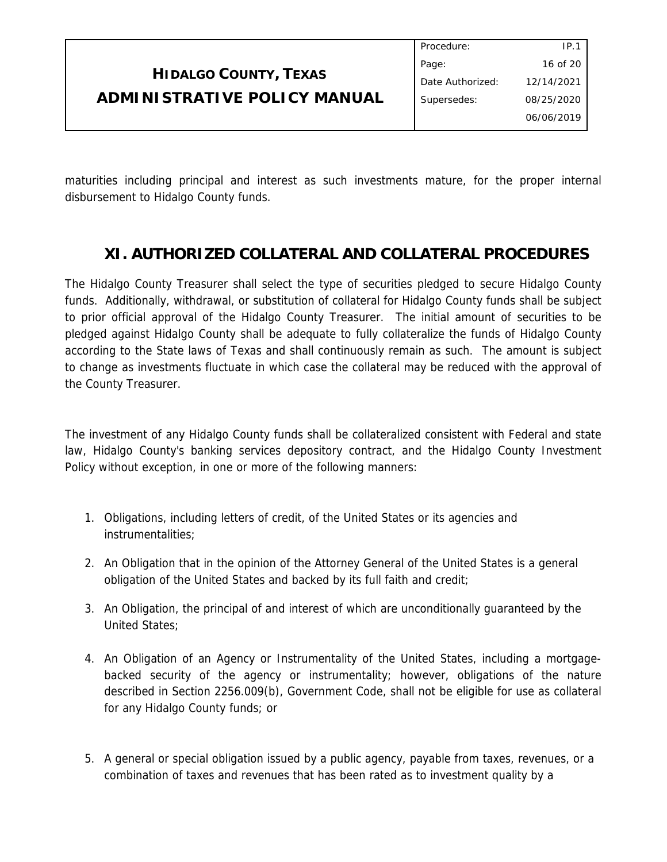|                              | Procedure:       | IP.1       |
|------------------------------|------------------|------------|
|                              | Page:            | 16 of 20   |
| <b>HIDALGO COUNTY, TEXAS</b> | Date Authorized: | 12/14/2021 |
| ADMINISTRATIVE POLICY MANUAL | Supersedes:      | 08/25/2020 |
|                              |                  | 06/06/2019 |

maturities including principal and interest as such investments mature, for the proper internal disbursement to Hidalgo County funds.

## **XI. AUTHORIZED COLLATERAL AND COLLATERAL PROCEDURES**

The Hidalgo County Treasurer shall select the type of securities pledged to secure Hidalgo County funds. Additionally, withdrawal, or substitution of collateral for Hidalgo County funds shall be subject to prior official approval of the Hidalgo County Treasurer. The initial amount of securities to be pledged against Hidalgo County shall be adequate to fully collateralize the funds of Hidalgo County according to the State laws of Texas and shall continuously remain as such. The amount is subject to change as investments fluctuate in which case the collateral may be reduced with the approval of the County Treasurer.

The investment of any Hidalgo County funds shall be collateralized consistent with Federal and state law, Hidalgo County's banking services depository contract, and the Hidalgo County Investment Policy without exception, in one or more of the following manners:

- 1. Obligations, including letters of credit, of the United States or its agencies and instrumentalities;
- 2. An Obligation that in the opinion of the Attorney General of the United States is a general obligation of the United States and backed by its full faith and credit;
- 3. An Obligation, the principal of and interest of which are unconditionally guaranteed by the United States;
- 4. An Obligation of an Agency or Instrumentality of the United States, including a mortgagebacked security of the agency or instrumentality; however, obligations of the nature described in Section 2256.009(b), Government Code, shall not be eligible for use as collateral for any Hidalgo County funds; or
- 5. A general or special obligation issued by a public agency, payable from taxes, revenues, or a combination of taxes and revenues that has been rated as to investment quality by a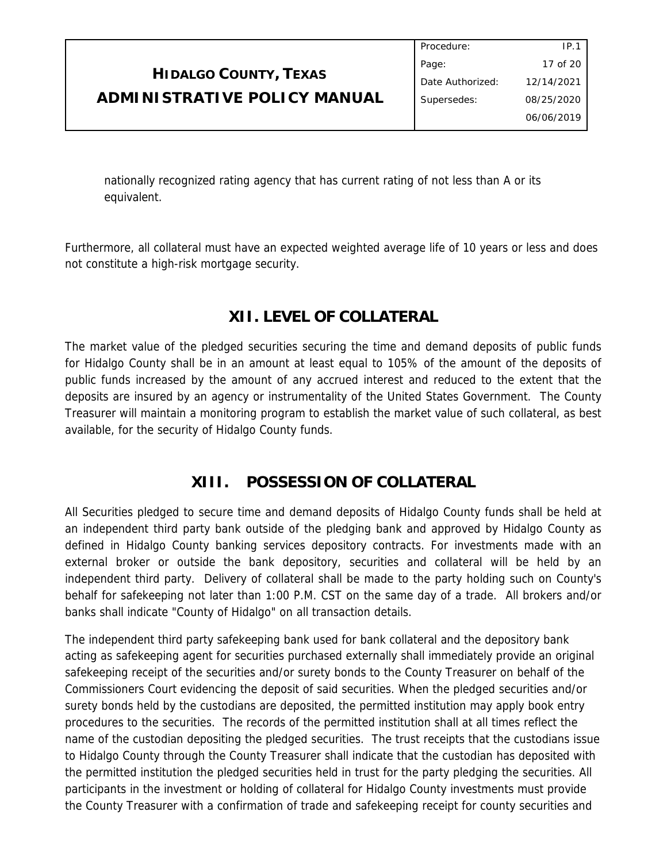|                              | Procedure:       | IP.1       |
|------------------------------|------------------|------------|
|                              | Page:            | 17 of 20   |
| <b>HIDALGO COUNTY, TEXAS</b> | Date Authorized: | 12/14/2021 |
| ADMINISTRATIVE POLICY MANUAL | Supersedes:      | 08/25/2020 |
|                              |                  | 06/06/2019 |
|                              |                  |            |

nationally recognized rating agency that has current rating of not less than A or its equivalent.

Furthermore, all collateral must have an expected weighted average life of 10 years or less and does not constitute a high-risk mortgage security.

# **XII. LEVEL OF COLLATERAL**

The market value of the pledged securities securing the time and demand deposits of public funds for Hidalgo County shall be in an amount at least equal to 105% of the amount of the deposits of public funds increased by the amount of any accrued interest and reduced to the extent that the deposits are insured by an agency or instrumentality of the United States Government. The County Treasurer will maintain a monitoring program to establish the market value of such collateral, as best available, for the security of Hidalgo County funds.

## **XIII. POSSESSION OF COLLATERAL**

All Securities pledged to secure time and demand deposits of Hidalgo County funds shall be held at an independent third party bank outside of the pledging bank and approved by Hidalgo County as defined in Hidalgo County banking services depository contracts. For investments made with an external broker or outside the bank depository, securities and collateral will be held by an independent third party. Delivery of collateral shall be made to the party holding such on County's behalf for safekeeping not later than 1:00 P.M. CST on the same day of a trade. All brokers and/or banks shall indicate "County of Hidalgo" on all transaction details.

The independent third party safekeeping bank used for bank collateral and the depository bank acting as safekeeping agent for securities purchased externally shall immediately provide an original safekeeping receipt of the securities and/or surety bonds to the County Treasurer on behalf of the Commissioners Court evidencing the deposit of said securities. When the pledged securities and/or surety bonds held by the custodians are deposited, the permitted institution may apply book entry procedures to the securities. The records of the permitted institution shall at all times reflect the name of the custodian depositing the pledged securities. The trust receipts that the custodians issue to Hidalgo County through the County Treasurer shall indicate that the custodian has deposited with the permitted institution the pledged securities held in trust for the party pledging the securities. All participants in the investment or holding of collateral for Hidalgo County investments must provide the County Treasurer with a confirmation of trade and safekeeping receipt for county securities and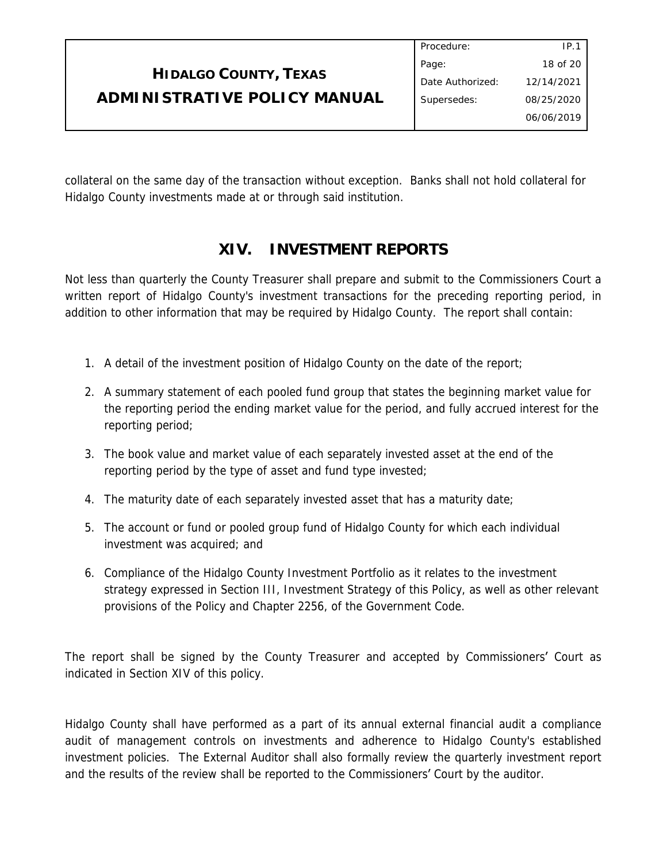|                              | Procedure:       | IP.        |
|------------------------------|------------------|------------|
|                              | Page:            | 18 of 20   |
| <b>HIDALGO COUNTY, TEXAS</b> | Date Authorized: | 12/14/2021 |
| ADMINISTRATIVE POLICY MANUAL | Supersedes:      | 08/25/2020 |
|                              |                  | 06/06/2019 |
|                              |                  |            |

collateral on the same day of the transaction without exception. Banks shall not hold collateral for Hidalgo County investments made at or through said institution.

# **XIV. INVESTMENT REPORTS**

Not less than quarterly the County Treasurer shall prepare and submit to the Commissioners Court a written report of Hidalgo County's investment transactions for the preceding reporting period, in addition to other information that may be required by Hidalgo County. The report shall contain:

- 1. A detail of the investment position of Hidalgo County on the date of the report;
- 2. A summary statement of each pooled fund group that states the beginning market value for the reporting period the ending market value for the period, and fully accrued interest for the reporting period;
- 3. The book value and market value of each separately invested asset at the end of the reporting period by the type of asset and fund type invested;
- 4. The maturity date of each separately invested asset that has a maturity date;
- 5. The account or fund or pooled group fund of Hidalgo County for which each individual investment was acquired; and
- 6. Compliance of the Hidalgo County Investment Portfolio as it relates to the investment strategy expressed in Section III, Investment Strategy of this Policy, as well as other relevant provisions of the Policy and Chapter 2256, of the Government Code.

The report shall be signed by the County Treasurer and accepted by Commissioners' Court as indicated in Section XIV of this policy.

Hidalgo County shall have performed as a part of its annual external financial audit a compliance audit of management controls on investments and adherence to Hidalgo County's established investment policies. The External Auditor shall also formally review the quarterly investment report and the results of the review shall be reported to the Commissioners' Court by the auditor.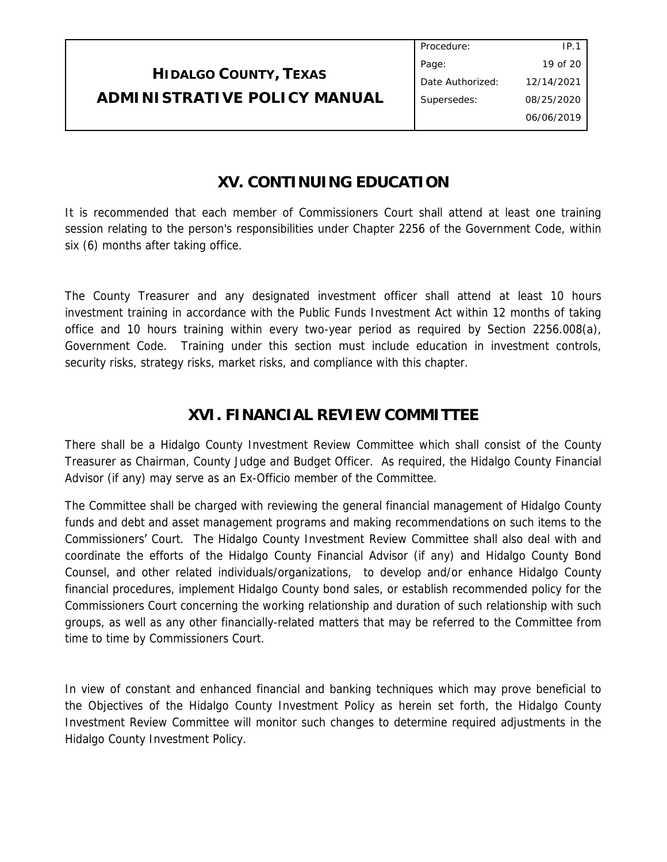| Procedure:       | IP.1       |
|------------------|------------|
| Page:            | 19 of 20   |
| Date Authorized: | 12/14/2021 |
| Supersedes:      | 08/25/2020 |
|                  | 06/06/2019 |
|                  |            |

## **XV. CONTINUING EDUCATION**

It is recommended that each member of Commissioners Court shall attend at least one training session relating to the person's responsibilities under Chapter 2256 of the Government Code, within six (6) months after taking office.

The County Treasurer and any designated investment officer shall attend at least 10 hours investment training in accordance with the Public Funds Investment Act within 12 months of taking office and 10 hours training within every two-year period as required by Section 2256.008(a), Government Code. Training under this section must include education in investment controls, security risks, strategy risks, market risks, and compliance with this chapter.

# **XVI. FINANCIAL REVIEW COMMITTEE**

There shall be a Hidalgo County Investment Review Committee which shall consist of the County Treasurer as Chairman, County Judge and Budget Officer. As required, the Hidalgo County Financial Advisor (if any) may serve as an Ex-Officio member of the Committee.

The Committee shall be charged with reviewing the general financial management of Hidalgo County funds and debt and asset management programs and making recommendations on such items to the Commissioners' Court. The Hidalgo County Investment Review Committee shall also deal with and coordinate the efforts of the Hidalgo County Financial Advisor (if any) and Hidalgo County Bond Counsel, and other related individuals/organizations, to develop and/or enhance Hidalgo County financial procedures, implement Hidalgo County bond sales, or establish recommended policy for the Commissioners Court concerning the working relationship and duration of such relationship with such groups, as well as any other financially-related matters that may be referred to the Committee from time to time by Commissioners Court.

In view of constant and enhanced financial and banking techniques which may prove beneficial to the Objectives of the Hidalgo County Investment Policy as herein set forth, the Hidalgo County Investment Review Committee will monitor such changes to determine required adjustments in the Hidalgo County Investment Policy.